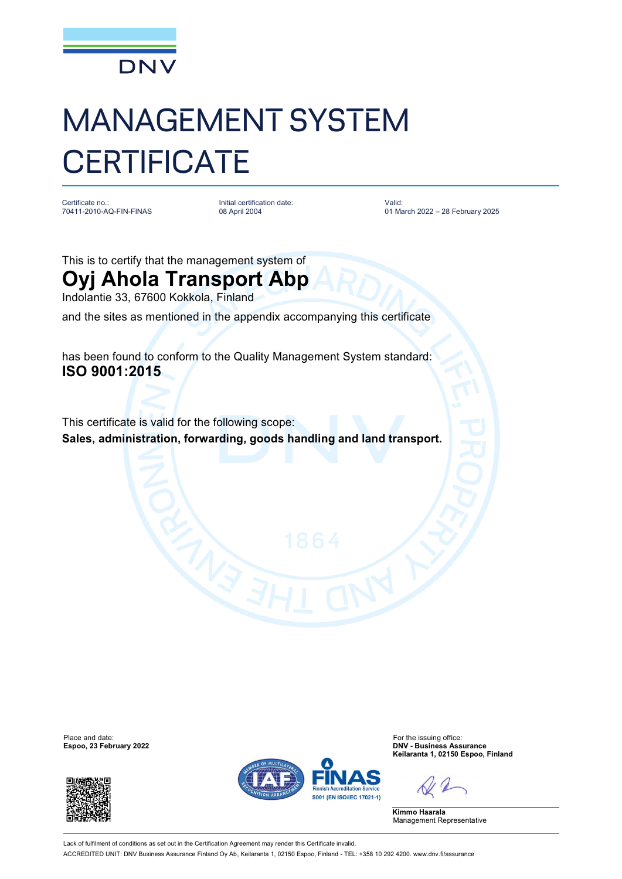

## MANAGEMENT SYSTEM **CERTIFICATE**

Certificate no.: 70411-2010-AQ-FIN-FINAS

Initial certification date: 08 April 2004

Valid: 01 March 2022 – 28 February 2025

This is to certify that the management system of

## **Oyj Ahola Transport Abp**

Indolantie 33, 67600 Kokkola, Finland

and the sites as mentioned in the appendix accompanying this certificate

has been found to conform to the Quality Management System standard: **ISO 9001:2015**

This certificate is valid for the following scope: **Sales, administration, forwarding, goods handling and land transport.**

**Espoo, 23 February 2022** 





Place and date:<br> **Expoo, 23 February 2022 Expool 22 Expool 23 For the issuing office:**<br> **Expoo, 23 February 2022 Keilaranta 1, 02150 Espoo, Finland**

**Kimmo Haarala** Management Representative

Lack of fulfilment of conditions as set out in the Certification Agreement may render this Certificate invalid. ACCREDITED UNIT: DNV Business Assurance Finland Oy Ab, Keilaranta 1, 02150 Espoo, Finland - TEL: +358 10 292 4200. [www.dnv.fi/assurance](http://www.dnv.fi/assurance)